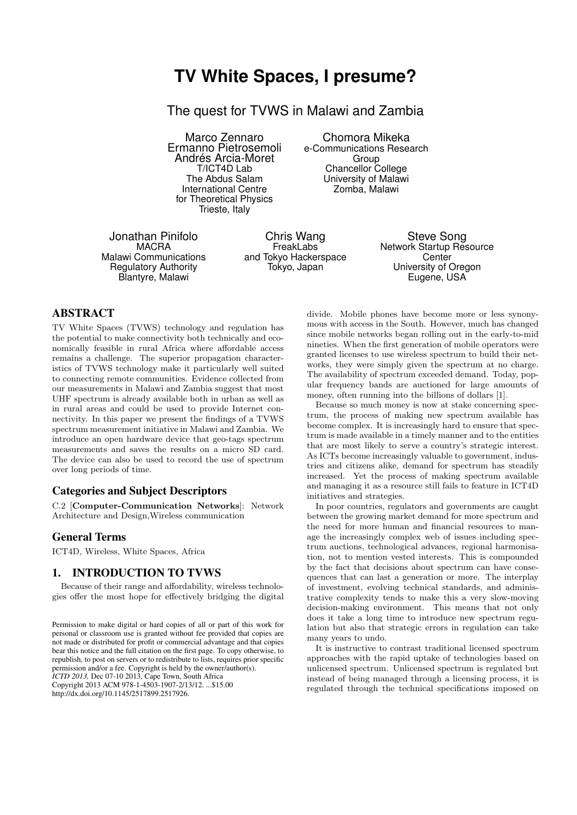# **TV White Spaces, I presume?**

The quest for TVWS in Malawi and Zambia

Marco Zennaro Ermanno Pietrosemoli Andrés Arcia-Moret T/ICT4D Lab The Abdus Salam International Centre for Theoretical Physics Trieste, Italy

Chomora Mikeka e-Communications Research Group Chancellor College University of Malawi Zomba, Malawi

Jonathan Pinifolo MACRA Malawi Communications Regulatory Authority Blantyre, Malawi

Chris Wang FreakLabs and Tokyo Hackerspace Tokyo, Japan

Steve Song Network Startup Resource **Center** University of Oregon Eugene, USA

# ABSTRACT

TV White Spaces (TVWS) technology and regulation has the potential to make connectivity both technically and economically feasible in rural Africa where affordable access remains a challenge. The superior propagation characteristics of TVWS technology make it particularly well suited to connecting remote communities. Evidence collected from our measurements in Malawi and Zambia suggest that most UHF spectrum is already available both in urban as well as in rural areas and could be used to provide Internet connectivity. In this paper we present the findings of a TVWS spectrum measurement initiative in Malawi and Zambia. We introduce an open hardware device that geo-tags spectrum measurements and saves the results on a micro SD card. The device can also be used to record the use of spectrum over long periods of time.

## Categories and Subject Descriptors

C.2 [Computer-Communication Networks]: Network Architecture and Design,Wireless communication

## General Terms

ICT4D, Wireless, White Spaces, Africa

#### 1. INTRODUCTION TO TVWS

Because of their range and affordability, wireless technologies offer the most hope for effectively bridging the digital

divide. Mobile phones have become more or less synonymous with access in the South. However, much has changed since mobile networks began rolling out in the early-to-mid nineties. When the first generation of mobile operators were granted licenses to use wireless spectrum to build their networks, they were simply given the spectrum at no charge. The availability of spectrum exceeded demand. Today, popular frequency bands are auctioned for large amounts of money, often running into the billions of dollars [1].

Because so much money is now at stake concerning spectrum, the process of making new spectrum available has become complex. It is increasingly hard to ensure that spectrum is made available in a timely manner and to the entities that are most likely to serve a country's strategic interest. As ICTs become increasingly valuable to government, industries and citizens alike, demand for spectrum has steadily increased. Yet the process of making spectrum available and managing it as a resource still fails to feature in ICT4D initiatives and strategies.

In poor countries, regulators and governments are caught between the growing market demand for more spectrum and the need for more human and financial resources to manage the increasingly complex web of issues including spectrum auctions, technological advances, regional harmonisation, not to mention vested interests. This is compounded by the fact that decisions about spectrum can have consequences that can last a generation or more. The interplay of investment, evolving technical standards, and administrative complexity tends to make this a very slow-moving decision-making environment. This means that not only does it take a long time to introduce new spectrum regulation but also that strategic errors in regulation can take many years to undo.

It is instructive to contrast traditional licensed spectrum approaches with the rapid uptake of technologies based on unlicensed spectrum. Unlicensed spectrum is regulated but instead of being managed through a licensing process, it is regulated through the technical specifications imposed on

Permission to make digital or hard copies of all or part of this work for personal or classroom use is granted without fee provided that copies are not made or distributed for profit or commercial advantage and that copies bear this notice and the full citation on the first page. To copy otherwise, to republish, to post on servers or to redistribute to lists, requires prior specific permission and/or a fee. Copyright is held by the owner/author(s). *ICTD 2013,* Dec 07-10 2013, Cape Town, South Africa Copyright 2013 ACM 978-1-4503-1907-2/13/12. ...\$15.00 http://dx.doi.org/10.1145/2517899.2517926.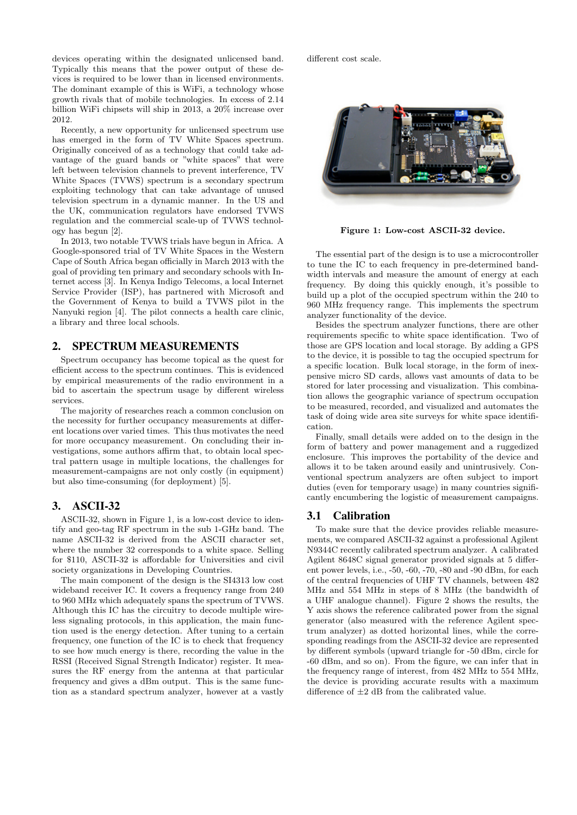devices operating within the designated unlicensed band. Typically this means that the power output of these devices is required to be lower than in licensed environments. The dominant example of this is WiFi, a technology whose growth rivals that of mobile technologies. In excess of 2.14 billion WiFi chipsets will ship in 2013, a 20% increase over 2012.

Recently, a new opportunity for unlicensed spectrum use has emerged in the form of TV White Spaces spectrum. Originally conceived of as a technology that could take advantage of the guard bands or "white spaces" that were left between television channels to prevent interference, TV White Spaces (TVWS) spectrum is a secondary spectrum exploiting technology that can take advantage of unused television spectrum in a dynamic manner. In the US and the UK, communication regulators have endorsed TVWS regulation and the commercial scale-up of TVWS technology has begun [2].

In 2013, two notable TVWS trials have begun in Africa. A Google-sponsored trial of TV White Spaces in the Western Cape of South Africa began officially in March 2013 with the goal of providing ten primary and secondary schools with Internet access [3]. In Kenya Indigo Telecoms, a local Internet Service Provider (ISP), has partnered with Microsoft and the Government of Kenya to build a TVWS pilot in the Nanyuki region [4]. The pilot connects a health care clinic, a library and three local schools.

#### 2. SPECTRUM MEASUREMENTS

Spectrum occupancy has become topical as the quest for efficient access to the spectrum continues. This is evidenced by empirical measurements of the radio environment in a bid to ascertain the spectrum usage by different wireless services.

The majority of researches reach a common conclusion on the necessity for further occupancy measurements at different locations over varied times. This thus motivates the need for more occupancy measurement. On concluding their investigations, some authors affirm that, to obtain local spectral pattern usage in multiple locations, the challenges for measurement-campaigns are not only costly (in equipment) but also time-consuming (for deployment) [5].

## 3. ASCII-32

ASCII-32, shown in Figure 1, is a low-cost device to identify and geo-tag RF spectrum in the sub 1-GHz band. The name ASCII-32 is derived from the ASCII character set, where the number 32 corresponds to a white space. Selling for \$110, ASCII-32 is affordable for Universities and civil society organizations in Developing Countries.

The main component of the design is the SI4313 low cost wideband receiver IC. It covers a frequency range from 240 to 960 MHz which adequately spans the spectrum of TVWS. Although this IC has the circuitry to decode multiple wireless signaling protocols, in this application, the main function used is the energy detection. After tuning to a certain frequency, one function of the IC is to check that frequency to see how much energy is there, recording the value in the RSSI (Received Signal Strength Indicator) register. It measures the RF energy from the antenna at that particular frequency and gives a dBm output. This is the same function as a standard spectrum analyzer, however at a vastly different cost scale.



Figure 1: Low-cost ASCII-32 device.

The essential part of the design is to use a microcontroller to tune the IC to each frequency in pre-determined bandwidth intervals and measure the amount of energy at each frequency. By doing this quickly enough, it's possible to build up a plot of the occupied spectrum within the 240 to 960 MHz frequency range. This implements the spectrum analyzer functionality of the device.

Besides the spectrum analyzer functions, there are other requirements specific to white space identification. Two of those are GPS location and local storage. By adding a GPS to the device, it is possible to tag the occupied spectrum for a specific location. Bulk local storage, in the form of inexpensive micro SD cards, allows vast amounts of data to be stored for later processing and visualization. This combination allows the geographic variance of spectrum occupation to be measured, recorded, and visualized and automates the task of doing wide area site surveys for white space identification.

Finally, small details were added on to the design in the form of battery and power management and a ruggedized enclosure. This improves the portability of the device and allows it to be taken around easily and unintrusively. Conventional spectrum analyzers are often subject to import duties (even for temporary usage) in many countries significantly encumbering the logistic of measurement campaigns.

## 3.1 Calibration

To make sure that the device provides reliable measurements, we compared ASCII-32 against a professional Agilent N9344C recently calibrated spectrum analyzer. A calibrated Agilent 8648C signal generator provided signals at 5 different power levels, i.e., -50, -60, -70, -80 and -90 dBm, for each of the central frequencies of UHF TV channels, between 482 MHz and 554 MHz in steps of 8 MHz (the bandwidth of a UHF analogue channel). Figure 2 shows the results, the Y axis shows the reference calibrated power from the signal generator (also measured with the reference Agilent spectrum analyzer) as dotted horizontal lines, while the corresponding readings from the ASCII-32 device are represented by different symbols (upward triangle for -50 dBm, circle for -60 dBm, and so on). From the figure, we can infer that in the frequency range of interest, from 482 MHz to 554 MHz, the device is providing accurate results with a maximum difference of  $\pm 2$  dB from the calibrated value.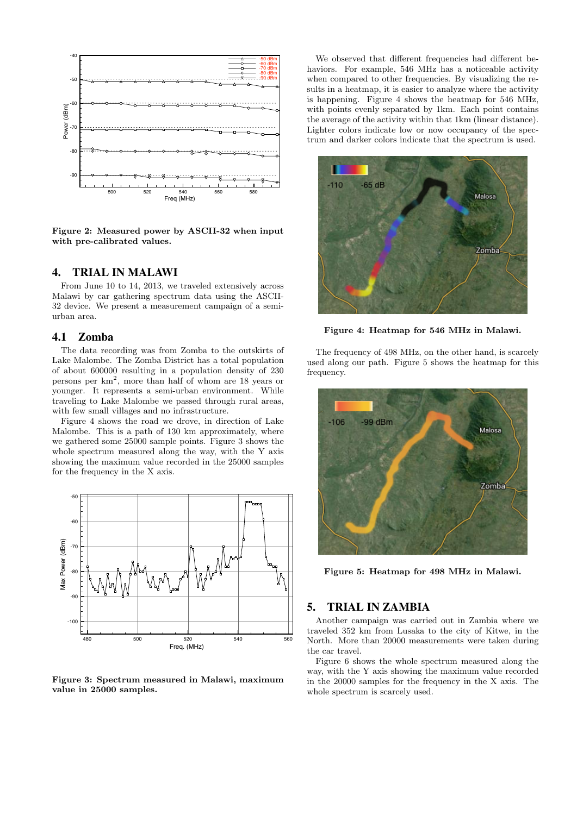

Figure 2: Measured power by ASCII-32 when input with pre-calibrated values.

## 4. TRIAL IN MALAWI

From June 10 to 14, 2013, we traveled extensively across Malawi by car gathering spectrum data using the ASCII-32 device. We present a measurement campaign of a semiurban area.

## 4.1 Zomba

The data recording was from Zomba to the outskirts of Lake Malombe. The Zomba District has a total population of about 600000 resulting in a population density of 230 persons per km<sup>2</sup> , more than half of whom are 18 years or younger. It represents a semi-urban environment. While traveling to Lake Malombe we passed through rural areas, with few small villages and no infrastructure.

Figure 4 shows the road we drove, in direction of Lake Malombe. This is a path of 130 km approximately, where we gathered some 25000 sample points. Figure 3 shows the whole spectrum measured along the way, with the Y axis showing the maximum value recorded in the 25000 samples for the frequency in the X axis.



Figure 3: Spectrum measured in Malawi, maximum value in 25000 samples.

We observed that different frequencies had different behaviors. For example, 546 MHz has a noticeable activity when compared to other frequencies. By visualizing the results in a heatmap, it is easier to analyze where the activity is happening. Figure 4 shows the heatmap for 546 MHz, with points evenly separated by 1km. Each point contains the average of the activity within that 1km (linear distance). Lighter colors indicate low or now occupancy of the spectrum and darker colors indicate that the spectrum is used.



Figure 4: Heatmap for 546 MHz in Malawi.

The frequency of 498 MHz, on the other hand, is scarcely used along our path. Figure 5 shows the heatmap for this frequency.



Figure 5: Heatmap for 498 MHz in Malawi.

#### 5. TRIAL IN ZAMBIA

Another campaign was carried out in Zambia where we traveled 352 km from Lusaka to the city of Kitwe, in the North. More than 20000 measurements were taken during the car travel.

Figure 6 shows the whole spectrum measured along the way, with the Y axis showing the maximum value recorded in the 20000 samples for the frequency in the X axis. The whole spectrum is scarcely used.